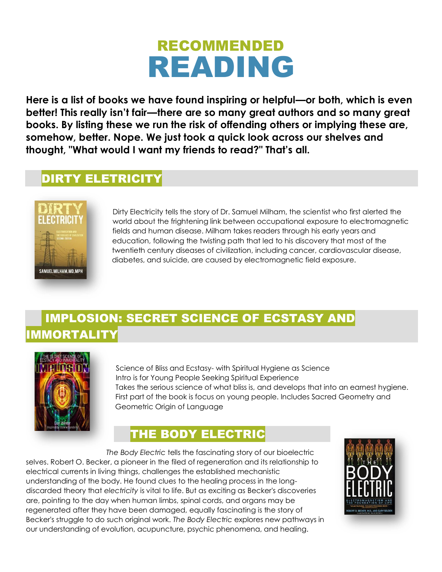# RECOMMENDED READING

**Here is a list of books we have found inspiring or helpful—or both, which is even better! This really isn't fair—there are so many great authors and so many great books. By listing these we run the risk of offending others or implying these are, somehow, better. Nope. We just took a quick look across our shelves and thought, "What would I want my friends to read?" That's all.**

# DIRTY ELETRICITY



Dirty Electricity tells the story of Dr. Samuel Milham, the scientist who first alerted the world about the frightening link between occupational exposure to electromagnetic fields and human disease. Milham takes readers through his early years and education, following the twisting path that led to his discovery that most of the twentieth century diseases of civilization, including cancer, cardiovascular disease, diabetes, and suicide, are caused by electromagnetic field exposure.

# IMPLOSION: SECRET SCIENCE OF ECSTASY AND IMMORTALITY



Science of Bliss and Ecstasy- with Spiritual Hygiene as Science Intro is for Young People Seeking Spiritual Experience Takes the serious science of what bliss is, and develops that into an earnest hygiene. First part of the book is focus on young people. Includes Sacred Geometry and Geometric Origin of Language

# THE BODY ELECTRIC

 *The Body Electric* tells the fascinating story of our bioelectric selves. Robert O. Becker, a pioneer in the filed of regeneration and its relationship to electrical currents in living things, challenges the established mechanistic understanding of the body. He found clues to the healing process in the longdiscarded theory that *electricity* is vital to life. But as exciting as Becker's discoveries are, pointing to the day when human limbs, spinal cords, and organs may be regenerated after they have been damaged, equally fascinating is the story of Becker's struggle to do such original work. *The Body Electric* explores new pathways in our understanding of evolution, acupuncture, psychic phenomena, and healing.

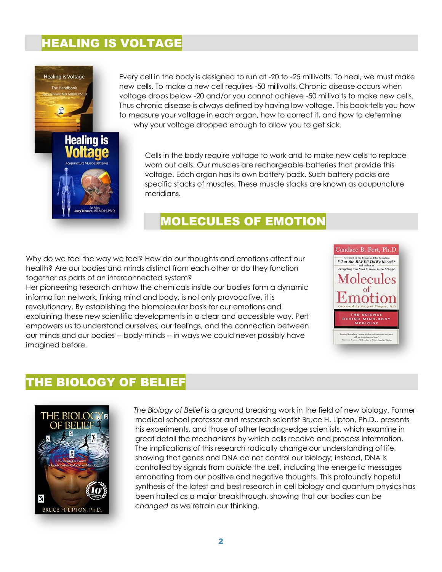#### HEALING IS VOLTAGE



Every cell in the body is designed to run at -20 to -25 millivolts. To heal, we must make new cells. To make a new cell requires -50 millivolts. Chronic disease occurs when voltage drops below -20 and/or you cannot achieve -50 millivolts to make new cells. Thus chronic disease is always defined by having low voltage. This book tells you how to measure your voltage in each organ, how to correct it, and how to determine why your voltage dropped enough to allow you to get sick.

Cells in the body require voltage to work and to make new cells to replace worn out cells. Our muscles are rechargeable batteries that provide this voltage. Each organ has its own battery pack. Such battery packs are specific stacks of muscles. These muscle stacks are known as acupuncture meridians.

## MOLECULES OF EMOTION

Why do we feel the way we feel? How do our thoughts and emotions affect our health? Are our bodies and minds distinct from each other or do they function together as parts of an interconnected system?

Her pioneering research on how the chemicals inside our bodies form a dynamic information network, linking mind and body, is not only provocative, it is revolutionary. By establishing the biomolecular basis for our emotions and explaining these new scientific developments in a clear and accessible way, Pert empowers us to understand ourselves, our feelings, and the connection between our minds and our bodies -- body-minds -- in ways we could never possibly have imagined before.



#### THE BIOLOGY OF BELIEF



*The Biology of Belief* is a ground breaking work in the field of new biology. Former medical school professor and research scientist Bruce H. Lipton, Ph.D., presents his experiments, and those of other leading-edge scientists, which examine in great detail the mechanisms by which cells receive and process information. The implications of this research radically change our understanding of life, showing that genes and DNA do not control our biology; instead, DNA is controlled by signals from *outside* the cell, including the energetic messages emanating from our positive and negative thoughts. This profoundly hopeful synthesis of the latest and best research in cell biology and quantum physics has been hailed as a major breakthrough, showing that our bodies can be *changed* as we retrain our thinking.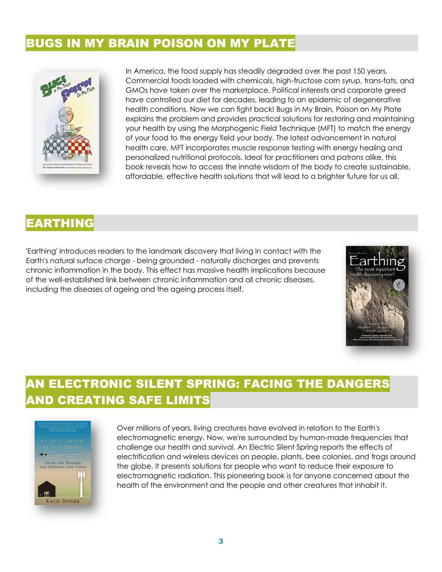#### BUGS IN MY BRAIN POISON ON MY PLATE



 In America, the food supply has steadily degraded over the past 150 years. Commercial foods loaded with chemicals, high-fructose corn syrup, trans-fats, and GMOs have taken over the marketplace. Political interests and corporate greed have controlled our diet for decades, leading to an epidemic of degenerative health conditions. Now we can fight back! Bugs in My Brain, Poison on My Plate explains the problem and provides practical solutions for restoring and maintaining your health by using the Morphogenic Field Technique (MFT) to match the energy of your food to the energy field your body. The latest advancement in natural health care, MFT incorporates muscle response testing with energy healing and personalized nutritional protocols. Ideal for practitioners and patrons alike, this book reveals how to access the innate wisdom of the body to create sustainable, affordable, effective health solutions that will lead to a brighter future for us all.

## EARTHING

'Earthing' introduces readers to the landmark discovery that living in contact with the Earth's natural surface charge - being grounded - naturally discharges and prevents chronic inflammation in the body. This effect has massive health implications because of the well-established link between chronic inflammation and all chronic diseases, including the diseases of ageing and the ageing process itself.



# AN ELECTRONIC SILENT SPRING: FACING THE DANGERS AND CREATING SAFE LIMITS



Over millions of years, living creatures have evolved in relation to the Earth's electromagnetic energy. Now, we're surrounded by human-made frequencies that challenge our health and survival. An Electric Silent Spring reports the effects of electrification and wireless devices on people, plants, bee colonies, and frogs around the globe. It presents solutions for people who want to reduce their exposure to electromagnetic radiation. This pioneering book is for anyone concerned about the health of the environment and the people and other creatures that inhabit it.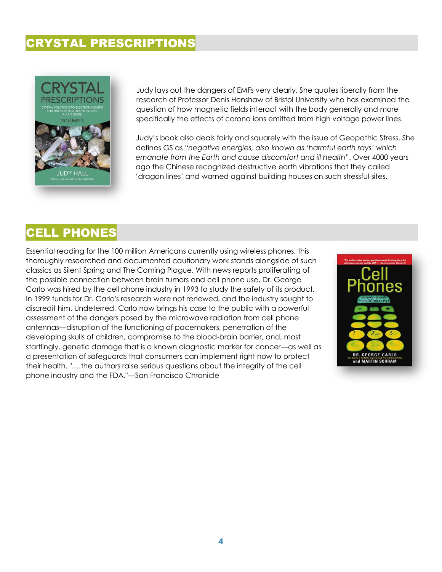#### CRYSTAL PRESCRIPTIONS



Judy lays out the dangers of EMFs very clearly. She quotes liberally from the research of Professor Denis Henshaw of Bristol University who has examined the question of how magnetic fields interact with the body generally and more specifically the effects of corona ions emitted from high voltage power lines.

Judy's book also deals fairly and squarely with the issue of Geopathic Stress. She defines GS as "*negative energies, also known as 'harmful earth rays' which emanate from the Earth and cause discomfort and ill health*". Over 4000 years ago the Chinese recognized destructive earth vibrations that they called 'dragon lines' and warned against building houses on such stressful sites.

# CELL PHONES

Essential reading for the 100 million Americans currently using wireless phones, this thoroughly researched and documented cautionary work stands alongside of such classics as Silent Spring and The Coming Plague. With news reports proliferating of the possible connection between brain tumors and cell phone use, Dr. George Carlo was hired by the cell phone industry in 1993 to study the safety of its product. In 1999 funds for Dr. Carlo's research were not renewed, and the industry sought to discredit him. Undeterred, Carlo now brings his case to the public with a powerful assessment of the dangers posed by the microwave radiation from cell phone antennas—disruption of the functioning of pacemakers, penetration of the developing skulls of children, compromise to the blood-brain barrier, and, most startlingly, genetic damage that is a known diagnostic marker for cancer—as well as a presentation of safeguards that consumers can implement right now to protect their health. ".…the authors raise serious questions about the integrity of the cell phone industry and the FDA."—San Francisco Chronicle